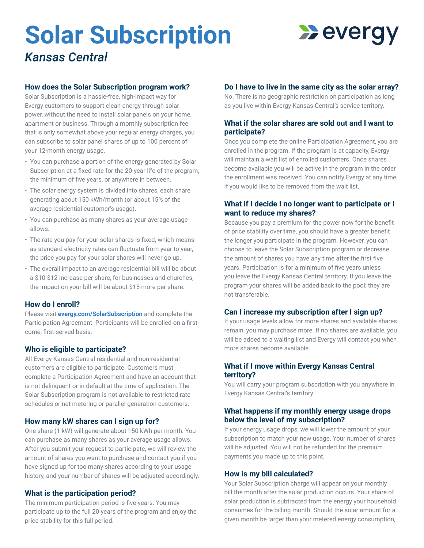# **Solar Subscription**

# **Wevergy**

*Kansas Central*

## **How does the Solar Subscription program work?**

Solar Subscription is a hassle-free, high-impact way for Evergy customers to support clean energy through solar power, without the need to install solar panels on your home, apartment or business. Through a monthly subscription fee that is only somewhat above your regular energy charges, you can subscribe to solar panel shares of up to 100 percent of your 12-month energy usage.

- You can purchase a portion of the energy generated by Solar Subscription at a fixed rate for the 20-year life of the program, the minimum of five years, or anywhere in between.
- The solar energy system is divided into shares, each share generating about 150 kWh/month (or about 15% of the average residential customer's usage).
- You can purchase as many shares as your average usage allows.
- The rate you pay for your solar shares is fixed, which means as standard electricity rates can fluctuate from year to year, the price you pay for your solar shares will never go up.
- The overall impact to an average residential bill will be about a \$10-\$12 increase per share, for businesses and churches, the impact on your bill will be about \$15 more per share.

# **How do I enroll?**

Please visit **evergy.com/SolarSubscription** and complete the Participation Agreement. Participants will be enrolled on a firstcome, first-served basis.

# **Who is eligible to participate?**

All Evergy Kansas Central residential and non-residential customers are eligible to participate. Customers must complete a Participation Agreement and have an account that is not delinquent or in default at the time of application. The Solar Subscription program is not available to restricted rate schedules or net metering or parallel generation customers.

# **How many kW shares can I sign up for?**

One share (1 kW) will generate about 150 kWh per month. You can purchase as many shares as your average usage allows. After you submit your request to participate, we will review the amount of shares you want to purchase and contact you if you have signed up for too many shares according to your usage history, and your number of shares will be adjusted accordingly.

# **What is the participation period?**

The minimum participation period is five years. You may participate up to the full 20 years of the program and enjoy the price stability for this full period.

# **Do I have to live in the same city as the solar array?**

No. There is no geographic restriction on participation as long as you live within Evergy Kansas Central's service territory.

# **What if the solar shares are sold out and I want to participate?**

Once you complete the online Participation Agreement, you are enrolled in the program. If the program is at capacity, Evergy will maintain a wait list of enrolled customers. Once shares become available you will be active in the program in the order the enrollment was received. You can notify Evergy at any time if you would like to be removed from the wait list.

# **What if I decide I no longer want to participate or I want to reduce my shares?**

Because you pay a premium for the power now for the benefit of price stability over time, you should have a greater benefit the longer you participate in the program. However, you can choose to leave the Solar Subscription program or decrease the amount of shares you have any time after the first five years. Participation is for a minimum of five years unless you leave the Evergy Kansas Central territory. If you leave the program your shares will be added back to the pool; they are not transferable.

# **Can I increase my subscription after I sign up?**

If your usage levels allow for more shares and available shares remain, you may purchase more. If no shares are available, you will be added to a waiting list and Evergy will contact you when more shares become available.

# **What if I move within Evergy Kansas Central territory?**

You will carry your program subscription with you anywhere in Evergy Kansas Central's territory.

# **What happens if my monthly energy usage drops below the level of my subscription?**

If your energy usage drops, we will lower the amount of your subscription to match your new usage. Your number of shares will be adjusted. You will not be refunded for the premium payments you made up to this point.

#### **How is my bill calculated?**

Your Solar Subscription charge will appear on your monthly bill the month after the solar production occurs. Your share of solar production is subtracted from the energy your household consumes for the billing month. Should the solar amount for a given month be larger than your metered energy consumption,